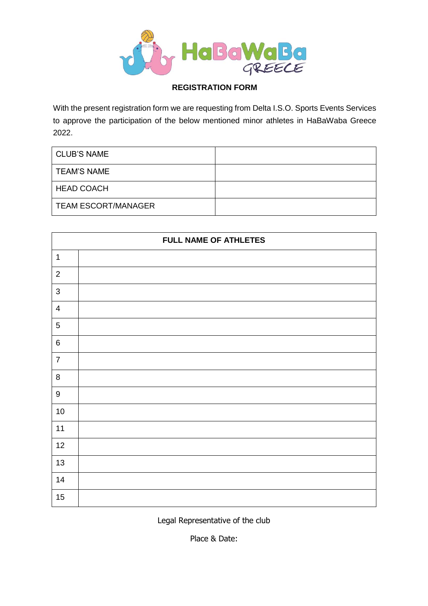

## **REGISTRATION FORM**

With the present registration form we are requesting from Delta I.S.O. Sports Events Services to approve the participation of the below mentioned minor athletes in HaBaWaba Greece 2022.

| <b>CLUB'S NAME</b>         |  |
|----------------------------|--|
| <b>TEAM'S NAME</b>         |  |
| <b>HEAD COACH</b>          |  |
| <b>TEAM ESCORT/MANAGER</b> |  |

| <b>FULL NAME OF ATHLETES</b> |  |  |  |
|------------------------------|--|--|--|
| $\mathbf 1$                  |  |  |  |
| $\sqrt{2}$                   |  |  |  |
| $\sqrt{3}$                   |  |  |  |
| $\overline{4}$               |  |  |  |
| $\sqrt{5}$                   |  |  |  |
| $\,6$                        |  |  |  |
| $\overline{7}$               |  |  |  |
| $\, 8$                       |  |  |  |
| $\boldsymbol{9}$             |  |  |  |
| 10                           |  |  |  |
| 11                           |  |  |  |
| 12                           |  |  |  |
| 13                           |  |  |  |
| 14                           |  |  |  |
| 15                           |  |  |  |

Legal Representative of the club

Place & Date: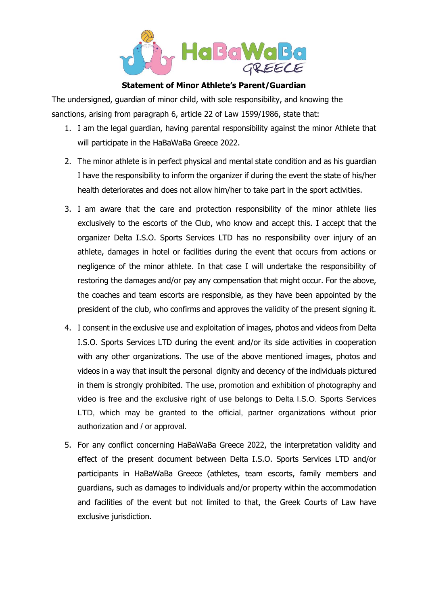

## **Statement of Minor Athlete's Parent/Guardian**

The undersigned, guardian of minor child, with sole responsibility, and knowing the sanctions, arising from paragraph 6, article 22 of Law 1599/1986, state that:

- 1. I am the legal guardian, having parental responsibility against the minor Athlete that will participate in the HaBaWaBa Greece 2022.
- 2. The minor athlete is in perfect physical and mental state condition and as his guardian I have the responsibility to inform the organizer if during the event the state of his/her health deteriorates and does not allow him/her to take part in the sport activities.
- 3. I am aware that the care and protection responsibility of the minor athlete lies exclusively to the escorts of the Club, who know and accept this. I accept that the organizer Delta I.S.O. Sports Services LTD has no responsibility over injury of an athlete, damages in hotel or facilities during the event that occurs from actions or negligence of the minor athlete. In that case I will undertake the responsibility of restoring the damages and/or pay any compensation that might occur. For the above, the coaches and team escorts are responsible, as they have been appointed by the president of the club, who confirms and approves the validity of the present signing it.
- 4. I consent in the exclusive use and exploitation of images, photos and videos from Delta I.S.O. Sports Services LTD during the event and/or its side activities in cooperation with any other organizations. The use of the above mentioned images, photos and videos in a way that insult the personal dignity and decency of the individuals pictured in them is strongly prohibited. The use, promotion and exhibition of photography and video is free and the exclusive right of use belongs to Delta I.S.O. Sports Services LTD, which may be granted to the official, partner organizations without prior authorization and / or approval.
- 5. For any conflict concerning HaBaWaBa Greece 2022, the interpretation validity and effect of the present document between Delta I.S.O. Sports Services LTD and/or participants in HaBaWaBa Greece (athletes, team escorts, family members and guardians, such as damages to individuals and/or property within the accommodation and facilities of the event but not limited to that, the Greek Courts of Law have exclusive jurisdiction.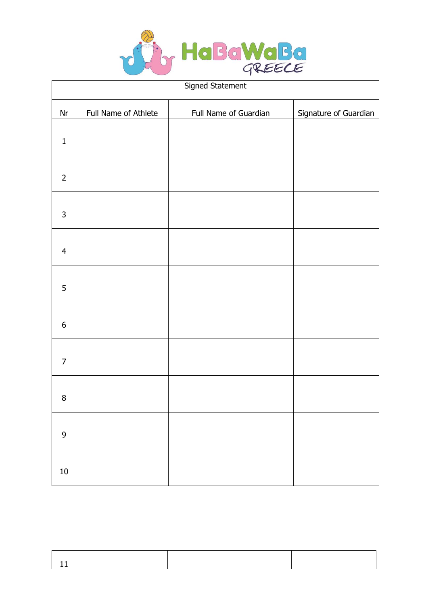

| Signed Statement |                      |                       |                       |  |
|------------------|----------------------|-----------------------|-----------------------|--|
| $\mathsf{Nr}$    | Full Name of Athlete | Full Name of Guardian | Signature of Guardian |  |
| $\mathbf{1}$     |                      |                       |                       |  |
| $\overline{2}$   |                      |                       |                       |  |
| $\mathsf{3}$     |                      |                       |                       |  |
| $\overline{4}$   |                      |                       |                       |  |
| 5                |                      |                       |                       |  |
| $\boldsymbol{6}$ |                      |                       |                       |  |
| $\overline{7}$   |                      |                       |                       |  |
| $\bf 8$          |                      |                       |                       |  |
| $\mathsf 9$      |                      |                       |                       |  |
| ${\bf 10}$       |                      |                       |                       |  |